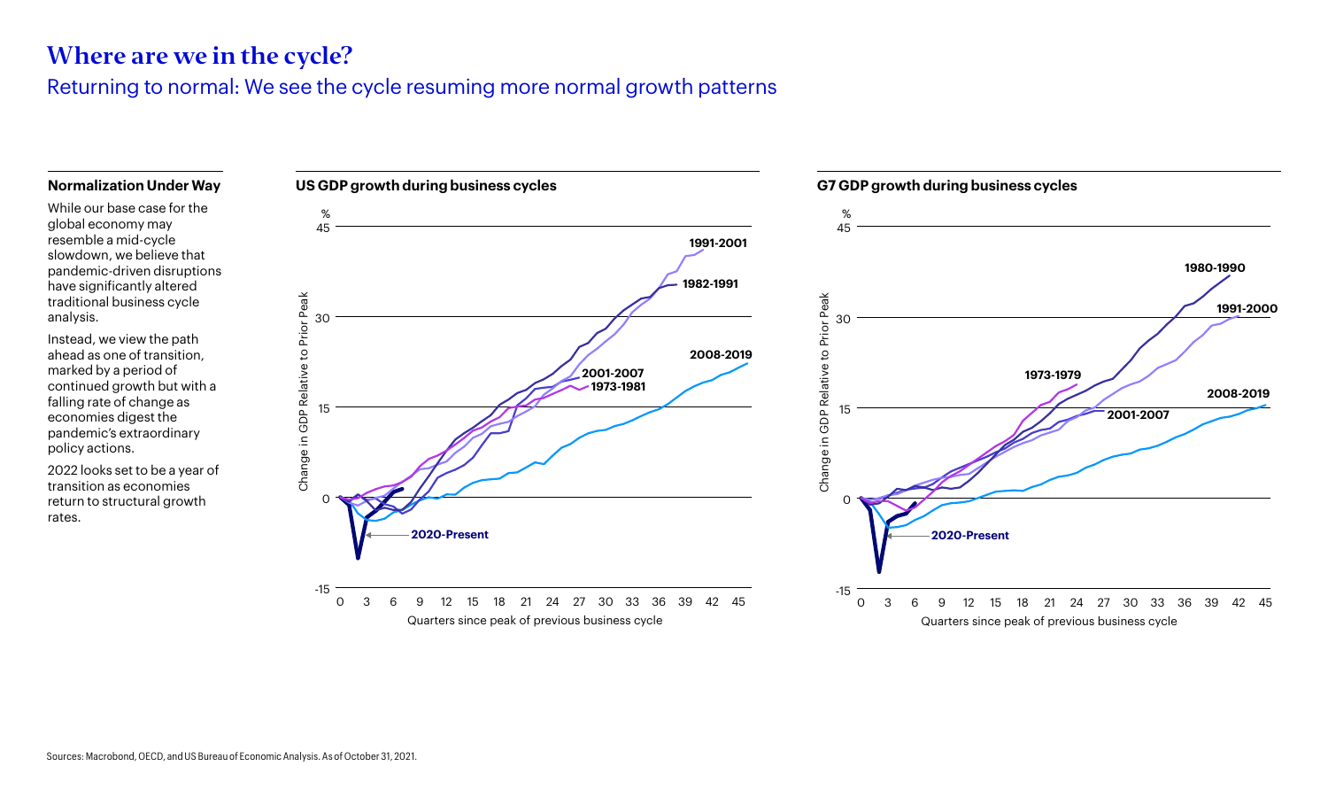## Where are we in the cycle?

Returning to normal: We see the cycle resuming more normal growth patterns

## **Normalization Under Way**

While our base case for the global economy may resemble a mid-cycle slowdown, we believe that pandemic-driven disruptions have significantly altered traditional business cycle analysis.

Instead, we view the path ahead as one of transition, marked by a period of continued growth but with a falling rate of change as economies digest the pandemic's extraordinary policy actions.

2022 looks set to be a year of transition as economies return to structural growth rates.